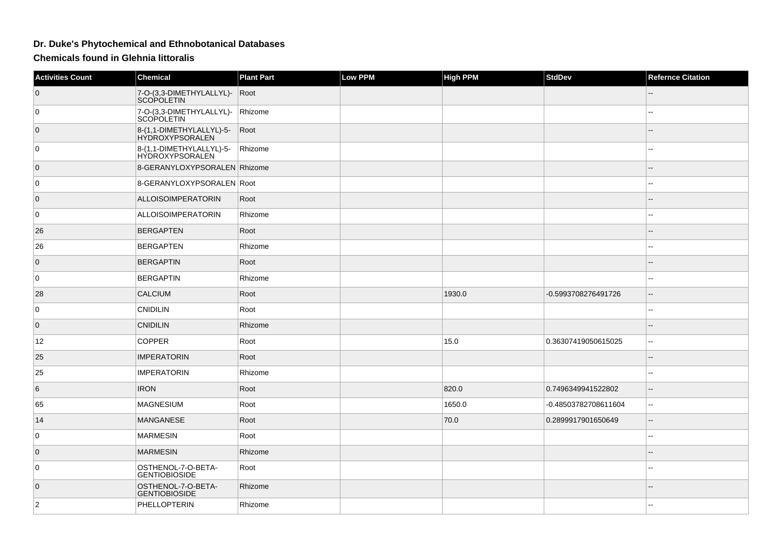## **Dr. Duke's Phytochemical and Ethnobotanical Databases**

**Chemicals found in Glehnia littoralis**

| <b>Activities Count</b> | <b>Chemical</b>                                    | <b>Plant Part</b> | <b>Low PPM</b> | <b>High PPM</b> | <b>StdDev</b>        | <b>Refernce Citation</b> |
|-------------------------|----------------------------------------------------|-------------------|----------------|-----------------|----------------------|--------------------------|
| $\overline{0}$          | 7-O-(3,3-DIMETHYLALLYL)-<br><b>SCOPOLETIN</b>      | Root              |                |                 |                      |                          |
| 0                       | 7-O-(3,3-DIMETHYLALLYL)-<br> SCOPOLETIN            | Rhizome           |                |                 |                      |                          |
| $\overline{0}$          | 8-(1,1-DIMETHYLALLYL)-5-<br><b>HYDROXYPSORALEN</b> | Root              |                |                 |                      |                          |
| 0                       | 8-(1,1-DIMETHYLALLYL)-5-<br>HYDROXYPSORALEN        | Rhizome           |                |                 |                      |                          |
| $\overline{0}$          | 8-GERANYLOXYPSORALEN Rhizome                       |                   |                |                 |                      | $-1$                     |
| 0 I                     | 8-GERANYLOXYPSORALEN Root                          |                   |                |                 |                      | 4                        |
| 0                       | <b>ALLOISOIMPERATORIN</b>                          | Root              |                |                 |                      |                          |
| 0                       | ALLOISOIMPERATORIN                                 | Rhizome           |                |                 |                      |                          |
| 26                      | <b>BERGAPTEN</b>                                   | Root              |                |                 |                      |                          |
| 26                      | <b>BERGAPTEN</b>                                   | Rhizome           |                |                 |                      | $\overline{a}$           |
| $\overline{0}$          | <b>BERGAPTIN</b>                                   | Root              |                |                 |                      |                          |
| 0 I                     | <b>BERGAPTIN</b>                                   | Rhizome           |                |                 |                      |                          |
| 28                      | <b>CALCIUM</b>                                     | Root              |                | 1930.0          | -0.5993708276491726  |                          |
| $\overline{0}$          | <b>CNIDILIN</b>                                    | Root              |                |                 |                      |                          |
| $\overline{0}$          | <b>CNIDILIN</b>                                    | Rhizome           |                |                 |                      |                          |
| 12                      | <b>COPPER</b>                                      | Root              |                | 15.0            | 0.36307419050615025  | $\overline{a}$           |
| 25                      | <b>IMPERATORIN</b>                                 | Root              |                |                 |                      | --                       |
| 25                      | <b>IMPERATORIN</b>                                 | Rhizome           |                |                 |                      |                          |
| 6                       | <b>IRON</b>                                        | Root              |                | 820.0           | 0.7496349941522802   |                          |
| 65                      | <b>MAGNESIUM</b>                                   | Root              |                | 1650.0          | -0.48503782708611604 | н.                       |
| 14                      | <b>MANGANESE</b>                                   | Root              |                | 70.0            | 0.2899917901650649   |                          |
| 0                       | <b>MARMESIN</b>                                    | Root              |                |                 |                      | $\overline{a}$           |
| $\overline{0}$          | <b>MARMESIN</b>                                    | Rhizome           |                |                 |                      |                          |
| 0                       | OSTHENOL-7-O-BETA-<br><b>GENTIOBIOSIDE</b>         | Root              |                |                 |                      |                          |
| $\overline{0}$          | OSTHENOL-7-O-BETA-<br><b>GENTIOBIOSIDE</b>         | Rhizome           |                |                 |                      |                          |
| $ 2\rangle$             | PHELLOPTERIN                                       | Rhizome           |                |                 |                      |                          |